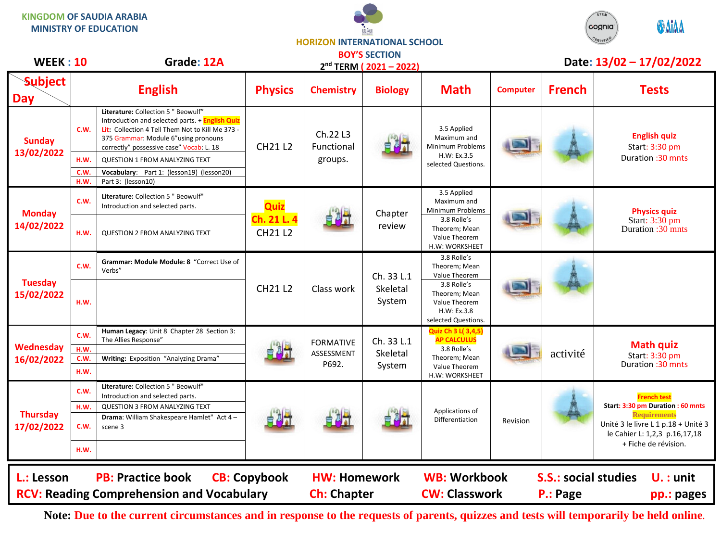**KINGDOM OF SAUDIA ARABIA MINISTRY OF EDUCATION**





## **HORIZON INTERNATIONAL SCHOOL BOY'S SECTION**

| <b>WEEK: 10</b>                                                                                                                                           |              | Grade: 12A                                                                                                                                                                                                                     |                                       |                                         | 2 <sup>nd</sup> TERM (2021-2022) |                                                                                                                   |                 |               | Date: 13/02 - 17/02/2022                                             |  |
|-----------------------------------------------------------------------------------------------------------------------------------------------------------|--------------|--------------------------------------------------------------------------------------------------------------------------------------------------------------------------------------------------------------------------------|---------------------------------------|-----------------------------------------|----------------------------------|-------------------------------------------------------------------------------------------------------------------|-----------------|---------------|----------------------------------------------------------------------|--|
| <b>Subject</b><br><b>Day</b>                                                                                                                              |              | <b>English</b>                                                                                                                                                                                                                 | <b>Physics</b>                        | <b>Chemistry</b>                        | <b>Biology</b>                   | <b>Math</b>                                                                                                       | <b>Computer</b> | <b>French</b> | <b>Tests</b>                                                         |  |
| <b>Sunday</b><br>13/02/2022                                                                                                                               | C.W.         | Literature: Collection 5 " Beowulf"<br>Introduction and selected parts. + English Quiz<br>Lit: Collection 4 Tell Them Not to Kill Me 373 -<br>375 Grammar: Module 6"using pronouns<br>correctly" possessive case" Vocab: L. 18 | <b>CH21 L2</b>                        | Ch.22 L3<br>Functional                  |                                  | 3.5 Applied<br>Maximum and<br>Minimum Problems                                                                    |                 |               | <b>English quiz</b><br>Start: 3:30 pm                                |  |
|                                                                                                                                                           | H.W.         | <b>QUESTION 1 FROM ANALYZING TEXT</b>                                                                                                                                                                                          |                                       | groups.                                 |                                  | H.W: Ex.3.5<br>selected Questions.                                                                                |                 |               | Duration: 30 mnts                                                    |  |
|                                                                                                                                                           | C.W.         | Vocabulary: Part 1: (lesson19) (lesson20)                                                                                                                                                                                      |                                       |                                         |                                  |                                                                                                                   |                 |               |                                                                      |  |
|                                                                                                                                                           | H.W.         | Part 3: (lesson10)                                                                                                                                                                                                             |                                       |                                         |                                  |                                                                                                                   |                 |               |                                                                      |  |
| <b>Monday</b><br>14/02/2022                                                                                                                               | C.W.         | Literature: Collection 5 " Beowulf"<br>Introduction and selected parts.                                                                                                                                                        | Quiz<br>Ch. 21 L. 4<br><b>CH21 L2</b> |                                         | Chapter<br>review                | 3.5 Applied<br>Maximum and<br>Minimum Problems<br>3.8 Rolle's<br>Theorem; Mean<br>Value Theorem<br>H.W: WORKSHEET |                 |               | <b>Physics quiz</b><br>Start: 3:30 pm<br>Duration :30 mnts           |  |
|                                                                                                                                                           | H.W.         | <b>QUESTION 2 FROM ANALYZING TEXT</b>                                                                                                                                                                                          |                                       |                                         |                                  |                                                                                                                   |                 |               |                                                                      |  |
| <b>Tuesday</b><br>15/02/2022                                                                                                                              | C.W.         | Grammar: Module Module: 8 "Correct Use of<br>Verbs"                                                                                                                                                                            |                                       |                                         | Ch. 33 L.1                       | 3.8 Rolle's<br>Theorem; Mean<br>Value Theorem                                                                     |                 |               |                                                                      |  |
|                                                                                                                                                           | H.W.         |                                                                                                                                                                                                                                | <b>CH21 L2</b>                        | Class work                              | Skeletal<br>System               | 3.8 Rolle's<br>Theorem; Mean<br>Value Theorem<br>H.W: Ex.3.8<br>selected Questions.                               |                 |               |                                                                      |  |
| Wednesday<br>16/02/2022                                                                                                                                   | C.W.<br>H.W. | Human Legacy: Unit 8 Chapter 28 Section 3:<br>The Allies Response"                                                                                                                                                             |                                       | <b>FORMATIVE</b><br>ASSESSMENT<br>P692. | Ch. 33 L.1<br>Skeletal<br>System | Quiz Ch 3 L( 3,4,5)<br><b>AP CALCULUS</b><br>3.8 Rolle's<br>Theorem; Mean<br>Value Theorem<br>H.W: WORKSHEET      |                 | activité      | <b>Math quiz</b><br>Start: 3:30 pm<br>Duration: 30 mnts              |  |
|                                                                                                                                                           | C.W.<br>H.W. | Writing: Exposition "Analyzing Drama"                                                                                                                                                                                          |                                       |                                         |                                  |                                                                                                                   |                 |               |                                                                      |  |
| <b>Thursday</b><br>17/02/2022                                                                                                                             | C.W.         | Literature: Collection 5 " Beowulf"<br>Introduction and selected parts.                                                                                                                                                        |                                       |                                         |                                  |                                                                                                                   |                 |               | <b>French test</b>                                                   |  |
|                                                                                                                                                           | H.W.         | <b>QUESTION 3 FROM ANALYZING TEXT</b>                                                                                                                                                                                          |                                       |                                         |                                  | Applications of                                                                                                   |                 |               | Start: 3:30 pm Duration : 60 mnts<br><b>Requirements</b>             |  |
|                                                                                                                                                           | C.W.         | Drama: William Shakespeare Hamlet" Act 4 -<br>scene 3                                                                                                                                                                          |                                       |                                         |                                  | Differentiation                                                                                                   | Revision        |               | Unité 3 le livre L 1 p.18 + Unité 3<br>le Cahier L: 1,2,3 p.16,17,18 |  |
|                                                                                                                                                           | H.W.         |                                                                                                                                                                                                                                |                                       |                                         |                                  |                                                                                                                   |                 |               | + Fiche de révision.                                                 |  |
| <b>PB: Practice book</b><br><b>CB: Copybook</b><br><b>WB: Workbook</b><br><b>S.S.: social studies</b><br>L.: Lesson<br><b>HW: Homework</b><br>$U.$ : unit |              |                                                                                                                                                                                                                                |                                       |                                         |                                  |                                                                                                                   |                 |               |                                                                      |  |
| <b>RCV: Reading Comprehension and Vocabulary</b><br><b>Ch: Chapter</b><br><b>CW: Classwork</b><br>P.: Page                                                |              |                                                                                                                                                                                                                                |                                       |                                         |                                  |                                                                                                                   |                 |               | pp.: pages                                                           |  |
|                                                                                                                                                           |              |                                                                                                                                                                                                                                |                                       |                                         |                                  |                                                                                                                   |                 |               |                                                                      |  |

**Note: Due to the current circumstances and in response to the requests of parents, quizzes and tests will temporarily be held online.**